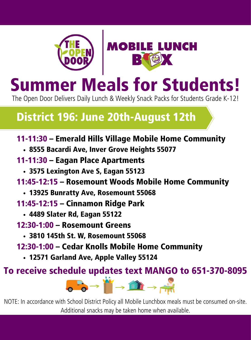



# Summer Meals for Students!

The Open Door Delivers Daily Lunch & Weekly Snack Packs for Students Grade K-12!

### District 196: June 20th-August 12th

#### 11-11:30 – Emerald Hills Village Mobile Home Community

- 8555 Bacardi Ave, Inver Grove Heights 55077
- 11-11:30 Eagan Place Apartments
	- 3575 Lexington Ave S, Eagan 55123
- 11:45-12:15 Rosemount Woods Mobile Home Community
	- 13925 Bunratty Ave, Rosemount 55068
- 11:45-12:15 Cinnamon Ridge Park
	- 4489 Slater Rd, Eagan 55122
- 12:30-1:00 Rosemount Greens
	- 3810 145th St. W, Rosemount 55068
- 12:30-1:00 Cedar Knolls Mobile Home Community
	- 12571 Garland Ave, Apple Valley 55124

To receive schedule updates text MANGO to 651-370-8095



NOTE: In accordance with School District Policy all Mobile Lunchbox meals must be consumed on-site. Additional snacks may be taken home when available.